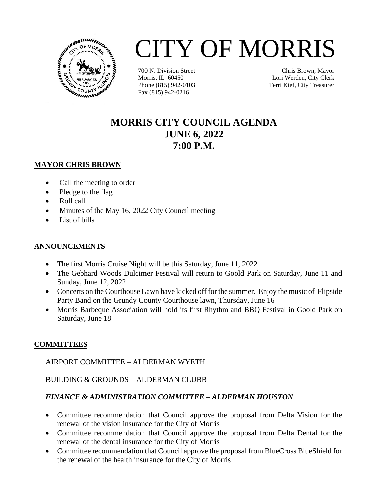

# CITY OF MORRIS

700 N. Division Street Morris, IL 60450 Phone (815) 942-0103 Fax (815) 942-0216

Chris Brown, Mayor Lori Werden, City Clerk Terri Kief, City Treasurer

## **MORRIS CITY COUNCIL AGENDA JUNE 6, 2022 7:00 P.M.**

#### **MAYOR CHRIS BROWN**

- Call the meeting to order
- Pledge to the flag
- Roll call
- Minutes of the May 16, 2022 City Council meeting
- List of bills

### **ANNOUNCEMENTS**

- The first Morris Cruise Night will be this Saturday, June 11, 2022
- The Gebhard Woods Dulcimer Festival will return to Goold Park on Saturday, June 11 and Sunday, June 12, 2022
- Concerts on the Courthouse Lawn have kicked off for the summer. Enjoy the music of Flipside Party Band on the Grundy County Courthouse lawn, Thursday, June 16
- Morris Barbeque Association will hold its first Rhythm and BBQ Festival in Goold Park on Saturday, June 18

### **COMMITTEES**

AIRPORT COMMITTEE – ALDERMAN WYETH

BUILDING & GROUNDS – ALDERMAN CLUBB

### *FINANCE & ADMINISTRATION COMMITTEE – ALDERMAN HOUSTON*

- Committee recommendation that Council approve the proposal from Delta Vision for the renewal of the vision insurance for the City of Morris
- Committee recommendation that Council approve the proposal from Delta Dental for the renewal of the dental insurance for the City of Morris
- Committee recommendation that Council approve the proposal from BlueCross BlueShield for the renewal of the health insurance for the City of Morris